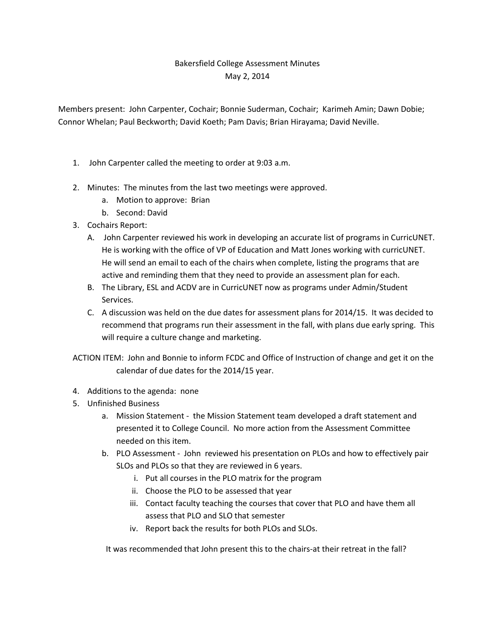## Bakersfield College Assessment Minutes May 2, 2014

Members present: John Carpenter, Cochair; Bonnie Suderman, Cochair; Karimeh Amin; Dawn Dobie; Connor Whelan; Paul Beckworth; David Koeth; Pam Davis; Brian Hirayama; David Neville.

- 1. John Carpenter called the meeting to order at 9:03 a.m.
- 2. Minutes: The minutes from the last two meetings were approved.
	- a. Motion to approve: Brian
	- b. Second: David
- 3. Cochairs Report:
	- A. John Carpenter reviewed his work in developing an accurate list of programs in CurricUNET. He is working with the office of VP of Education and Matt Jones working with curricUNET. He will send an email to each of the chairs when complete, listing the programs that are active and reminding them that they need to provide an assessment plan for each.
	- B. The Library, ESL and ACDV are in CurricUNET now as programs under Admin/Student Services.
	- C. A discussion was held on the due dates for assessment plans for 2014/15. It was decided to recommend that programs run their assessment in the fall, with plans due early spring. This will require a culture change and marketing.
- ACTION ITEM: John and Bonnie to inform FCDC and Office of Instruction of change and get it on the calendar of due dates for the 2014/15 year.
- 4. Additions to the agenda: none
- 5. Unfinished Business
	- a. Mission Statement the Mission Statement team developed a draft statement and presented it to College Council. No more action from the Assessment Committee needed on this item.
	- b. PLO Assessment John reviewed his presentation on PLOs and how to effectively pair SLOs and PLOs so that they are reviewed in 6 years.
		- i. Put all courses in the PLO matrix for the program
		- ii. Choose the PLO to be assessed that year
		- iii. Contact faculty teaching the courses that cover that PLO and have them all assess that PLO and SLO that semester
		- iv. Report back the results for both PLOs and SLOs.

It was recommended that John present this to the chairs-at their retreat in the fall?